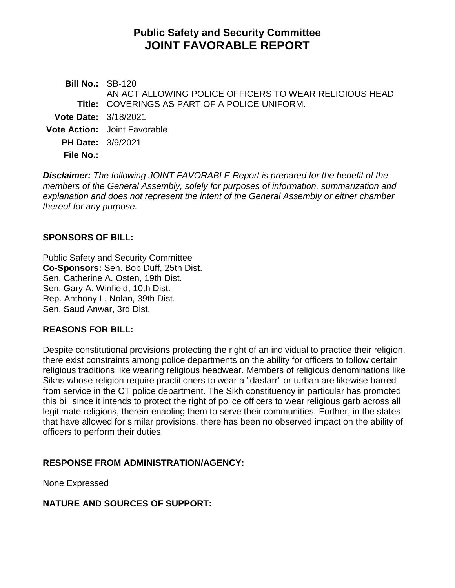# **Public Safety and Security Committee JOINT FAVORABLE REPORT**

**Bill No.:** SB-120 **Title:** COVERINGS AS PART OF A POLICE UNIFORM. AN ACT ALLOWING POLICE OFFICERS TO WEAR RELIGIOUS HEAD **Vote Date:** 3/18/2021 **Vote Action:** Joint Favorable **PH Date:** 3/9/2021 **File No.:**

*Disclaimer: The following JOINT FAVORABLE Report is prepared for the benefit of the members of the General Assembly, solely for purposes of information, summarization and explanation and does not represent the intent of the General Assembly or either chamber thereof for any purpose.*

## **SPONSORS OF BILL:**

Public Safety and Security Committee **Co-Sponsors:** Sen. Bob Duff, 25th Dist. Sen. Catherine A. Osten, 19th Dist. Sen. Gary A. Winfield, 10th Dist. Rep. Anthony L. Nolan, 39th Dist. Sen. Saud Anwar, 3rd Dist.

#### **REASONS FOR BILL:**

Despite constitutional provisions protecting the right of an individual to practice their religion, there exist constraints among police departments on the ability for officers to follow certain religious traditions like wearing religious headwear. Members of religious denominations like Sikhs whose religion require practitioners to wear a "dastarr" or turban are likewise barred from service in the CT police department. The Sikh constituency in particular has promoted this bill since it intends to protect the right of police officers to wear religious garb across all legitimate religions, therein enabling them to serve their communities. Further, in the states that have allowed for similar provisions, there has been no observed impact on the ability of officers to perform their duties.

# **RESPONSE FROM ADMINISTRATION/AGENCY:**

None Expressed

# **NATURE AND SOURCES OF SUPPORT:**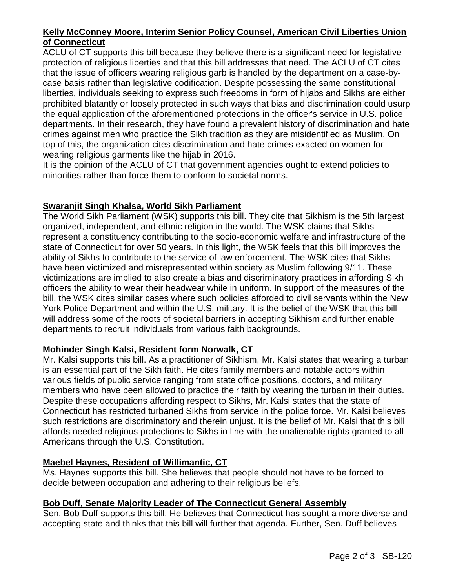## **Kelly McConney Moore, Interim Senior Policy Counsel, American Civil Liberties Union of Connecticut**

ACLU of CT supports this bill because they believe there is a significant need for legislative protection of religious liberties and that this bill addresses that need. The ACLU of CT cites that the issue of officers wearing religious garb is handled by the department on a case-bycase basis rather than legislative codification. Despite possessing the same constitutional liberties, individuals seeking to express such freedoms in form of hijabs and Sikhs are either prohibited blatantly or loosely protected in such ways that bias and discrimination could usurp the equal application of the aforementioned protections in the officer's service in U.S. police departments. In their research, they have found a prevalent history of discrimination and hate crimes against men who practice the Sikh tradition as they are misidentified as Muslim. On top of this, the organization cites discrimination and hate crimes exacted on women for wearing religious garments like the hijab in 2016.

It is the opinion of the ACLU of CT that government agencies ought to extend policies to minorities rather than force them to conform to societal norms.

#### **Swaranjit Singh Khalsa, World Sikh Parliament**

The World Sikh Parliament (WSK) supports this bill. They cite that Sikhism is the 5th largest organized, independent, and ethnic religion in the world. The WSK claims that Sikhs represent a constituency contributing to the socio-economic welfare and infrastructure of the state of Connecticut for over 50 years. In this light, the WSK feels that this bill improves the ability of Sikhs to contribute to the service of law enforcement. The WSK cites that Sikhs have been victimized and misrepresented within society as Muslim following 9/11. These victimizations are implied to also create a bias and discriminatory practices in affording Sikh officers the ability to wear their headwear while in uniform. In support of the measures of the bill, the WSK cites similar cases where such policies afforded to civil servants within the New York Police Department and within the U.S. military. It is the belief of the WSK that this bill will address some of the roots of societal barriers in accepting Sikhism and further enable departments to recruit individuals from various faith backgrounds.

# **Mohinder Singh Kalsi, Resident form Norwalk, CT**

Mr. Kalsi supports this bill. As a practitioner of Sikhism, Mr. Kalsi states that wearing a turban is an essential part of the Sikh faith. He cites family members and notable actors within various fields of public service ranging from state office positions, doctors, and military members who have been allowed to practice their faith by wearing the turban in their duties. Despite these occupations affording respect to Sikhs, Mr. Kalsi states that the state of Connecticut has restricted turbaned Sikhs from service in the police force. Mr. Kalsi believes such restrictions are discriminatory and therein unjust. It is the belief of Mr. Kalsi that this bill affords needed religious protections to Sikhs in line with the unalienable rights granted to all Americans through the U.S. Constitution.

# **Maebel Haynes, Resident of Willimantic, CT**

Ms. Haynes supports this bill. She believes that people should not have to be forced to decide between occupation and adhering to their religious beliefs.

#### **Bob Duff, Senate Majority Leader of The Connecticut General Assembly**

Sen. Bob Duff supports this bill. He believes that Connecticut has sought a more diverse and accepting state and thinks that this bill will further that agenda. Further, Sen. Duff believes